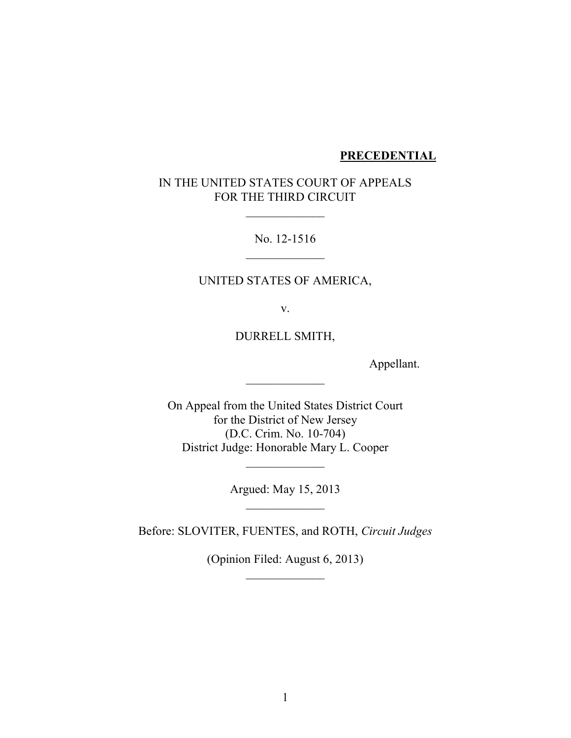#### **PRECEDENTIAL**

## IN THE UNITED STATES COURT OF APPEALS FOR THE THIRD CIRCUIT

 $\frac{1}{2}$ 

No. 12-1516  $\overline{\phantom{a}}$ 

## UNITED STATES OF AMERICA,

v.

DURRELL SMITH,

 $\overline{\phantom{a}}$ 

Appellant.

On Appeal from the United States District Court for the District of New Jersey (D.C. Crim. No. 10-704) District Judge: Honorable Mary L. Cooper

> Argued: May 15, 2013  $\frac{1}{2}$

 $\overline{\phantom{a}}$ 

Before: SLOVITER, FUENTES, and ROTH, *Circuit Judges*

(Opinion Filed: August 6, 2013)  $\frac{1}{2}$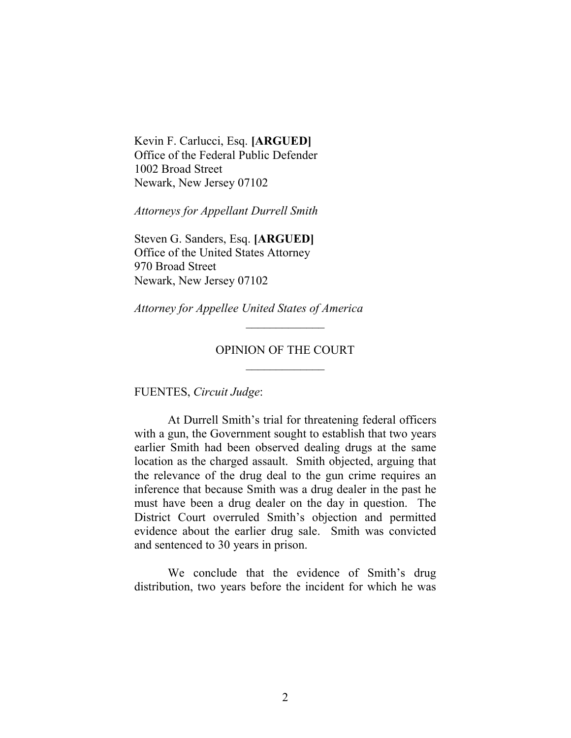Kevin F. Carlucci, Esq. **[ARGUED]** Office of the Federal Public Defender 1002 Broad Street Newark, New Jersey 07102

*Attorneys for Appellant Durrell Smith*

Steven G. Sanders, Esq. **[ARGUED]** Office of the United States Attorney 970 Broad Street Newark, New Jersey 07102

*Attorney for Appellee United States of America*

### OPINION OF THE COURT  $\overline{\phantom{a}}$

 $\overline{\phantom{a}}$ 

FUENTES, *Circuit Judge*:

At Durrell Smith's trial for threatening federal officers with a gun, the Government sought to establish that two years earlier Smith had been observed dealing drugs at the same location as the charged assault. Smith objected, arguing that the relevance of the drug deal to the gun crime requires an inference that because Smith was a drug dealer in the past he must have been a drug dealer on the day in question. The District Court overruled Smith's objection and permitted evidence about the earlier drug sale. Smith was convicted and sentenced to 30 years in prison.

We conclude that the evidence of Smith's drug distribution, two years before the incident for which he was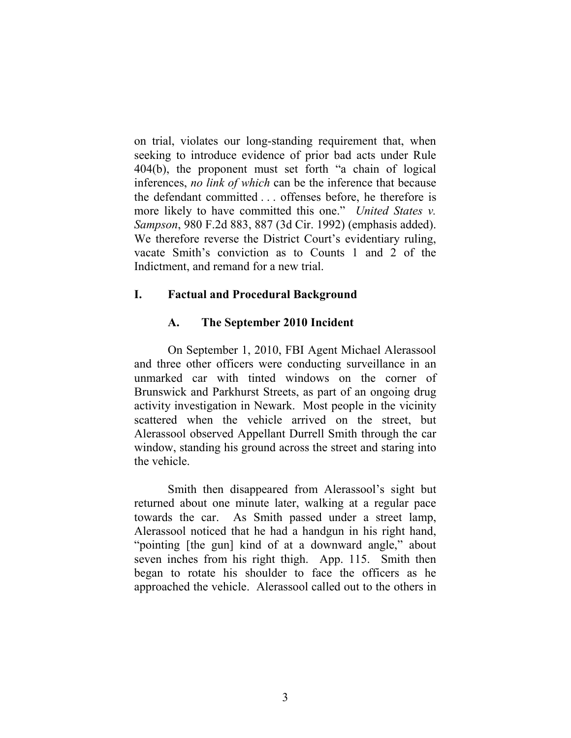on trial, violates our long-standing requirement that, when seeking to introduce evidence of prior bad acts under Rule 404(b), the proponent must set forth "a chain of logical inferences, *no link of which* can be the inference that because the defendant committed . . . offenses before, he therefore is more likely to have committed this one." *United States v. Sampson*, 980 F.2d 883, 887 (3d Cir. 1992) (emphasis added). We therefore reverse the District Court's evidentiary ruling, vacate Smith's conviction as to Counts 1 and 2 of the Indictment, and remand for a new trial.

### **I. Factual and Procedural Background**

### **A. The September 2010 Incident**

On September 1, 2010, FBI Agent Michael Alerassool and three other officers were conducting surveillance in an unmarked car with tinted windows on the corner of Brunswick and Parkhurst Streets, as part of an ongoing drug activity investigation in Newark. Most people in the vicinity scattered when the vehicle arrived on the street, but Alerassool observed Appellant Durrell Smith through the car window, standing his ground across the street and staring into the vehicle.

Smith then disappeared from Alerassool's sight but returned about one minute later, walking at a regular pace towards the car. As Smith passed under a street lamp, Alerassool noticed that he had a handgun in his right hand, "pointing [the gun] kind of at a downward angle," about seven inches from his right thigh. App. 115. Smith then began to rotate his shoulder to face the officers as he approached the vehicle. Alerassool called out to the others in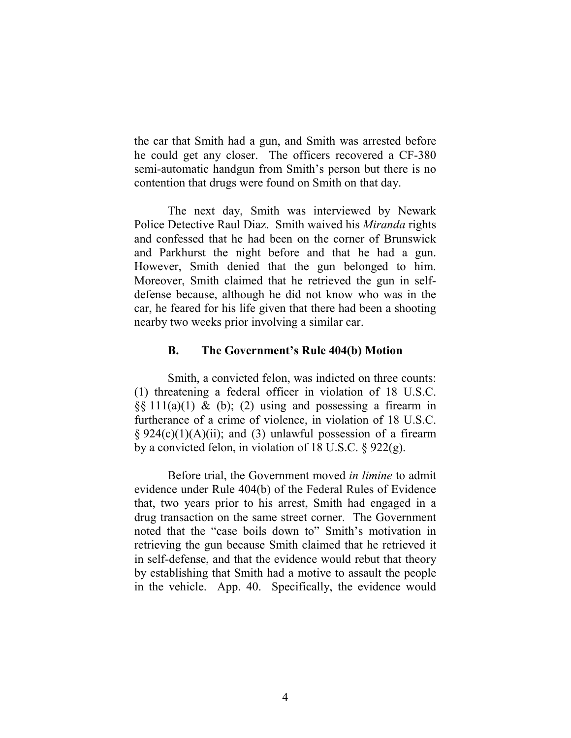the car that Smith had a gun, and Smith was arrested before he could get any closer. The officers recovered a CF-380 semi-automatic handgun from Smith's person but there is no contention that drugs were found on Smith on that day.

The next day, Smith was interviewed by Newark Police Detective Raul Diaz. Smith waived his *Miranda* rights and confessed that he had been on the corner of Brunswick and Parkhurst the night before and that he had a gun. However, Smith denied that the gun belonged to him. Moreover, Smith claimed that he retrieved the gun in selfdefense because, although he did not know who was in the car, he feared for his life given that there had been a shooting nearby two weeks prior involving a similar car.

#### **B. The Government's Rule 404(b) Motion**

Smith, a convicted felon, was indicted on three counts: (1) threatening a federal officer in violation of 18 U.S.C.  $\S$ § 111(a)(1) & (b); (2) using and possessing a firearm in furtherance of a crime of violence, in violation of 18 U.S.C.  $§ 924(c)(1)(A)(ii);$  and (3) unlawful possession of a firearm by a convicted felon, in violation of 18 U.S.C.  $\S 922(g)$ .

Before trial, the Government moved *in limine* to admit evidence under Rule 404(b) of the Federal Rules of Evidence that, two years prior to his arrest, Smith had engaged in a drug transaction on the same street corner. The Government noted that the "case boils down to" Smith's motivation in retrieving the gun because Smith claimed that he retrieved it in self-defense, and that the evidence would rebut that theory by establishing that Smith had a motive to assault the people in the vehicle. App. 40. Specifically, the evidence would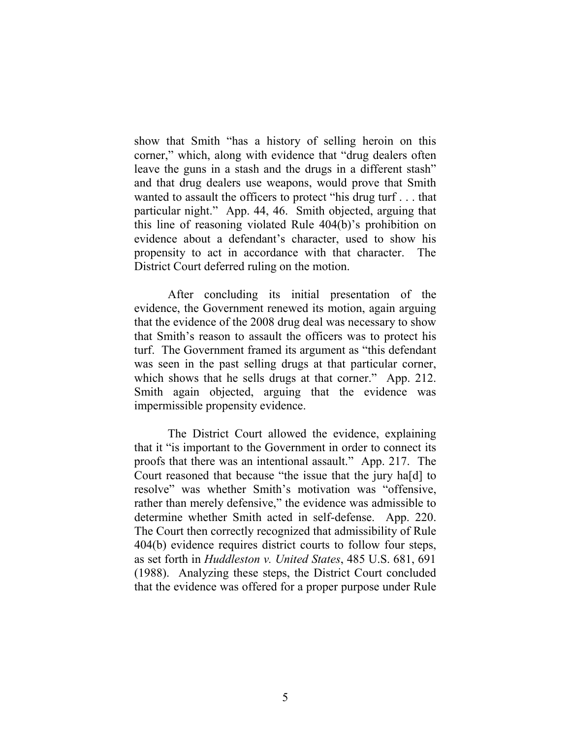show that Smith "has a history of selling heroin on this corner," which, along with evidence that "drug dealers often leave the guns in a stash and the drugs in a different stash" and that drug dealers use weapons, would prove that Smith wanted to assault the officers to protect "his drug turf . . . that particular night." App. 44, 46. Smith objected, arguing that this line of reasoning violated Rule 404(b)'s prohibition on evidence about a defendant's character, used to show his propensity to act in accordance with that character. The District Court deferred ruling on the motion.

After concluding its initial presentation of the evidence, the Government renewed its motion, again arguing that the evidence of the 2008 drug deal was necessary to show that Smith's reason to assault the officers was to protect his turf. The Government framed its argument as "this defendant was seen in the past selling drugs at that particular corner, which shows that he sells drugs at that corner." App. 212. Smith again objected, arguing that the evidence was impermissible propensity evidence.

The District Court allowed the evidence, explaining that it "is important to the Government in order to connect its proofs that there was an intentional assault." App. 217. The Court reasoned that because "the issue that the jury ha[d] to resolve" was whether Smith's motivation was "offensive, rather than merely defensive," the evidence was admissible to determine whether Smith acted in self-defense. App. 220. The Court then correctly recognized that admissibility of Rule 404(b) evidence requires district courts to follow four steps, as set forth in *Huddleston v. United States*, 485 U.S. 681, 691 (1988). Analyzing these steps, the District Court concluded that the evidence was offered for a proper purpose under Rule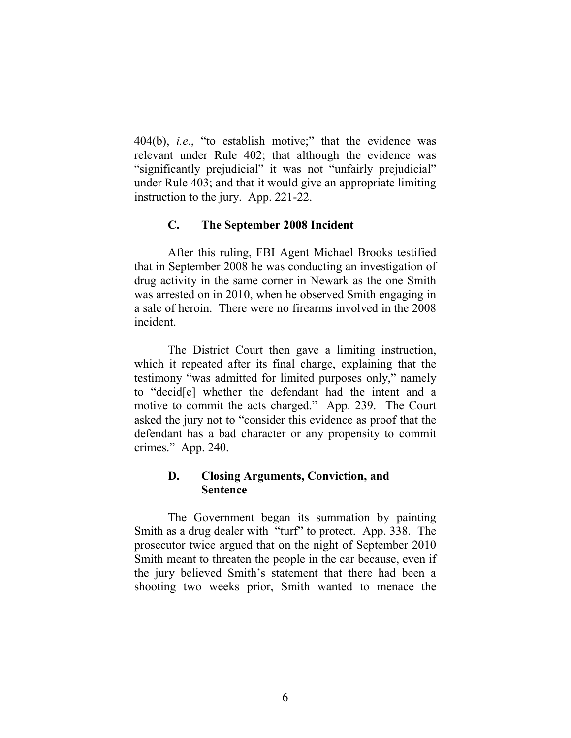404(b), *i.e*., "to establish motive;" that the evidence was relevant under Rule 402; that although the evidence was "significantly prejudicial" it was not "unfairly prejudicial" under Rule 403; and that it would give an appropriate limiting instruction to the jury. App. 221-22.

### **C. The September 2008 Incident**

After this ruling, FBI Agent Michael Brooks testified that in September 2008 he was conducting an investigation of drug activity in the same corner in Newark as the one Smith was arrested on in 2010, when he observed Smith engaging in a sale of heroin. There were no firearms involved in the 2008 incident.

The District Court then gave a limiting instruction, which it repeated after its final charge, explaining that the testimony "was admitted for limited purposes only," namely to "decid[e] whether the defendant had the intent and a motive to commit the acts charged." App. 239. The Court asked the jury not to "consider this evidence as proof that the defendant has a bad character or any propensity to commit crimes." App. 240.

### **D. Closing Arguments, Conviction, and Sentence**

The Government began its summation by painting Smith as a drug dealer with "turf" to protect. App. 338. The prosecutor twice argued that on the night of September 2010 Smith meant to threaten the people in the car because, even if the jury believed Smith's statement that there had been a shooting two weeks prior, Smith wanted to menace the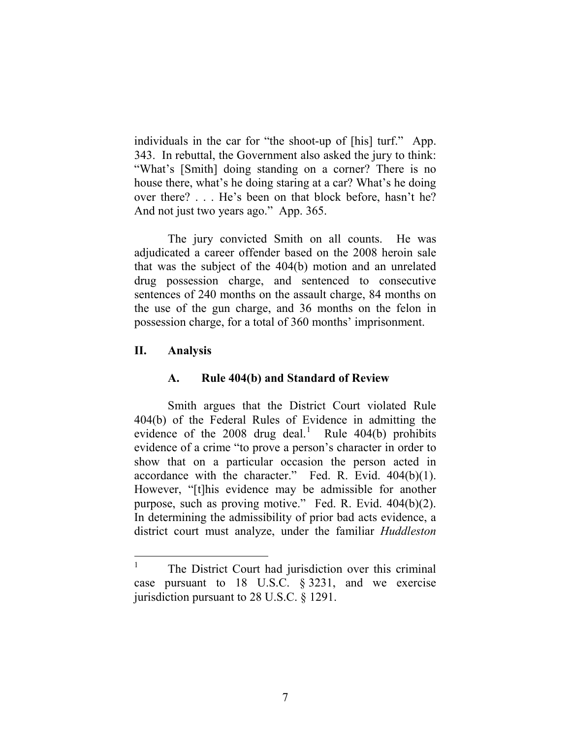individuals in the car for "the shoot-up of [his] turf." App. 343. In rebuttal, the Government also asked the jury to think: "What's [Smith] doing standing on a corner? There is no house there, what's he doing staring at a car? What's he doing over there? . . . He's been on that block before, hasn't he? And not just two years ago." App. 365.

The jury convicted Smith on all counts. He was adjudicated a career offender based on the 2008 heroin sale that was the subject of the 404(b) motion and an unrelated drug possession charge, and sentenced to consecutive sentences of 240 months on the assault charge, 84 months on the use of the gun charge, and 36 months on the felon in possession charge, for a total of 360 months' imprisonment.

### **II. Analysis**

# **A. Rule 404(b) and Standard of Review**

Smith argues that the District Court violated Rule 404(b) of the Federal Rules of Evidence in admitting the evidence of the  $2008$  drug deal.<sup>[1](#page-6-0)</sup> Rule 404(b) prohibits evidence of a crime "to prove a person's character in order to show that on a particular occasion the person acted in accordance with the character." Fed. R. Evid. 404(b)(1). However, "[t]his evidence may be admissible for another purpose, such as proving motive." Fed. R. Evid. 404(b)(2). In determining the admissibility of prior bad acts evidence, a district court must analyze, under the familiar *Huddleston* 

<span id="page-6-0"></span><sup>&</sup>lt;sup>1</sup> The District Court had jurisdiction over this criminal case pursuant to 18 U.S.C. § 3231, and we exercise jurisdiction pursuant to 28 U.S.C. § 1291.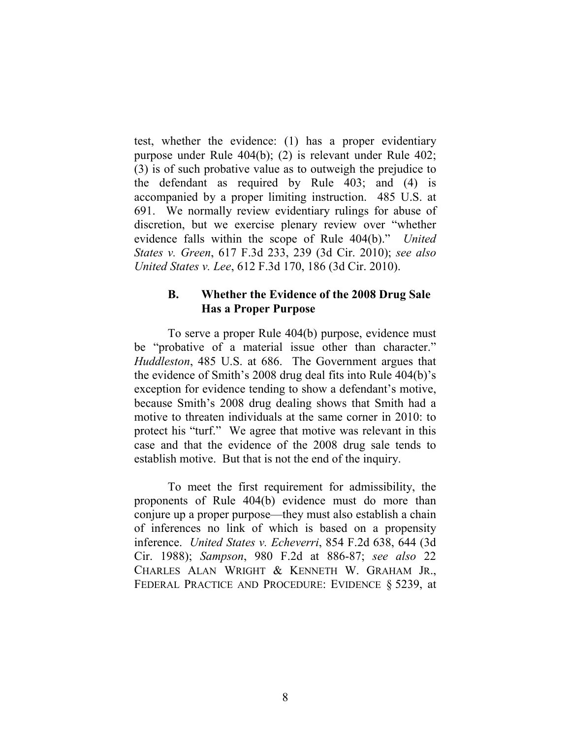test, whether the evidence: (1) has a proper evidentiary purpose under Rule 404(b); (2) is relevant under Rule 402; (3) is of such probative value as to outweigh the prejudice to the defendant as required by Rule 403; and (4) is accompanied by a proper limiting instruction. 485 U.S. at 691. We normally review evidentiary rulings for abuse of discretion, but we exercise plenary review over "whether evidence falls within the scope of Rule 404(b)." *United States v. Green*, 617 F.3d 233, 239 (3d Cir. 2010); *see also United States v. Lee*, 612 F.3d 170, 186 (3d Cir. 2010).

### **B. Whether the Evidence of the 2008 Drug Sale Has a Proper Purpose**

To serve a proper Rule 404(b) purpose, evidence must be "probative of a material issue other than character." *Huddleston*, 485 U.S. at 686. The Government argues that the evidence of Smith's 2008 drug deal fits into Rule 404(b)'s exception for evidence tending to show a defendant's motive, because Smith's 2008 drug dealing shows that Smith had a motive to threaten individuals at the same corner in 2010: to protect his "turf." We agree that motive was relevant in this case and that the evidence of the 2008 drug sale tends to establish motive. But that is not the end of the inquiry.

To meet the first requirement for admissibility, the proponents of Rule 404(b) evidence must do more than conjure up a proper purpose—they must also establish a chain of inferences no link of which is based on a propensity inference. *United States v. Echeverri*, 854 F.2d 638, 644 (3d Cir. 1988); *Sampson*, 980 F.2d at 886-87; *see also* 22 CHARLES ALAN WRIGHT & KENNETH W. GRAHAM JR., FEDERAL PRACTICE AND PROCEDURE: EVIDENCE § 5239, at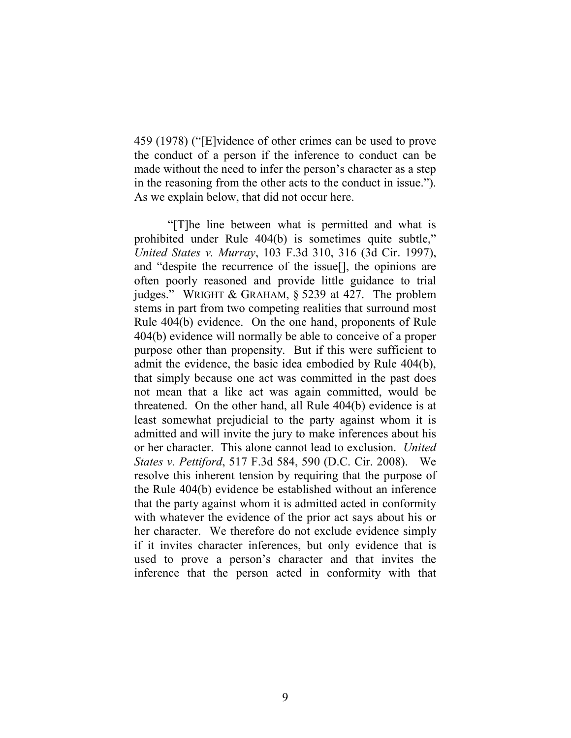459 (1978) ("[E]vidence of other crimes can be used to prove the conduct of a person if the inference to conduct can be made without the need to infer the person's character as a step in the reasoning from the other acts to the conduct in issue."). As we explain below, that did not occur here.

"[T]he line between what is permitted and what is prohibited under Rule 404(b) is sometimes quite subtle," *United States v. Murray*, 103 F.3d 310, 316 (3d Cir. 1997), and "despite the recurrence of the issue[], the opinions are often poorly reasoned and provide little guidance to trial judges." WRIGHT & GRAHAM, § 5239 at 427. The problem stems in part from two competing realities that surround most Rule 404(b) evidence. On the one hand, proponents of Rule 404(b) evidence will normally be able to conceive of a proper purpose other than propensity. But if this were sufficient to admit the evidence, the basic idea embodied by Rule 404(b), that simply because one act was committed in the past does not mean that a like act was again committed, would be threatened. On the other hand, all Rule 404(b) evidence is at least somewhat prejudicial to the party against whom it is admitted and will invite the jury to make inferences about his or her character. This alone cannot lead to exclusion. *United States v. Pettiford*, 517 F.3d 584, 590 (D.C. Cir. 2008). We resolve this inherent tension by requiring that the purpose of the Rule 404(b) evidence be established without an inference that the party against whom it is admitted acted in conformity with whatever the evidence of the prior act says about his or her character. We therefore do not exclude evidence simply if it invites character inferences, but only evidence that is used to prove a person's character and that invites the inference that the person acted in conformity with that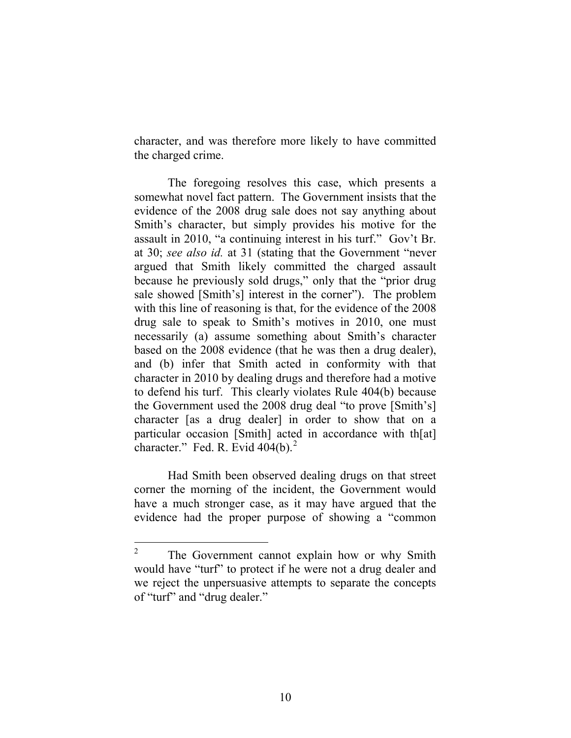character, and was therefore more likely to have committed the charged crime.

The foregoing resolves this case, which presents a somewhat novel fact pattern. The Government insists that the evidence of the 2008 drug sale does not say anything about Smith's character, but simply provides his motive for the assault in 2010, "a continuing interest in his turf." Gov't Br. at 30; *see also id.* at 31 (stating that the Government "never argued that Smith likely committed the charged assault because he previously sold drugs," only that the "prior drug sale showed [Smith's] interest in the corner"). The problem with this line of reasoning is that, for the evidence of the 2008 drug sale to speak to Smith's motives in 2010, one must necessarily (a) assume something about Smith's character based on the 2008 evidence (that he was then a drug dealer), and (b) infer that Smith acted in conformity with that character in 2010 by dealing drugs and therefore had a motive to defend his turf. This clearly violates Rule 404(b) because the Government used the 2008 drug deal "to prove [Smith's] character [as a drug dealer] in order to show that on a particular occasion [Smith] acted in accordance with th[at] character." Fed. R. Evid  $404(b)$ .<sup>[2](#page-9-0)</sup>

Had Smith been observed dealing drugs on that street corner the morning of the incident, the Government would have a much stronger case, as it may have argued that the evidence had the proper purpose of showing a "common

<span id="page-9-0"></span><sup>&</sup>lt;sup>2</sup> The Government cannot explain how or why Smith would have "turf" to protect if he were not a drug dealer and we reject the unpersuasive attempts to separate the concepts of "turf" and "drug dealer."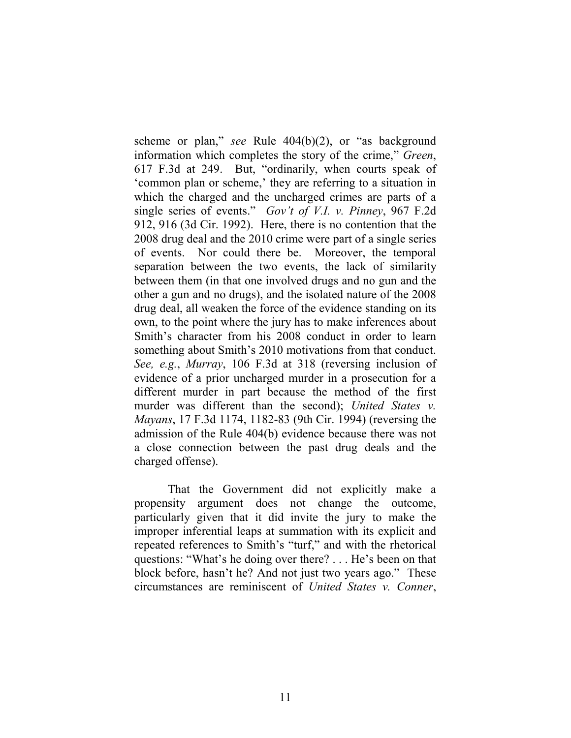scheme or plan," *see* Rule 404(b)(2), or "as background information which completes the story of the crime," *Green*, 617 F.3d at 249. But, "ordinarily, when courts speak of 'common plan or scheme,' they are referring to a situation in which the charged and the uncharged crimes are parts of a single series of events." *Gov't of V.I. v. Pinney*, 967 F.2d 912, 916 (3d Cir. 1992). Here, there is no contention that the 2008 drug deal and the 2010 crime were part of a single series of events. Nor could there be. Moreover, the temporal separation between the two events, the lack of similarity between them (in that one involved drugs and no gun and the other a gun and no drugs), and the isolated nature of the 2008 drug deal, all weaken the force of the evidence standing on its own, to the point where the jury has to make inferences about Smith's character from his 2008 conduct in order to learn something about Smith's 2010 motivations from that conduct. *See, e.g.*, *Murray*, 106 F.3d at 318 (reversing inclusion of evidence of a prior uncharged murder in a prosecution for a different murder in part because the method of the first murder was different than the second); *United States v. Mayans*, 17 F.3d 1174, 1182-83 (9th Cir. 1994) (reversing the admission of the Rule 404(b) evidence because there was not a close connection between the past drug deals and the charged offense).

That the Government did not explicitly make a propensity argument does not change the outcome, particularly given that it did invite the jury to make the improper inferential leaps at summation with its explicit and repeated references to Smith's "turf," and with the rhetorical questions: "What's he doing over there? . . . He's been on that block before, hasn't he? And not just two years ago." These circumstances are reminiscent of *United States v. Conner*,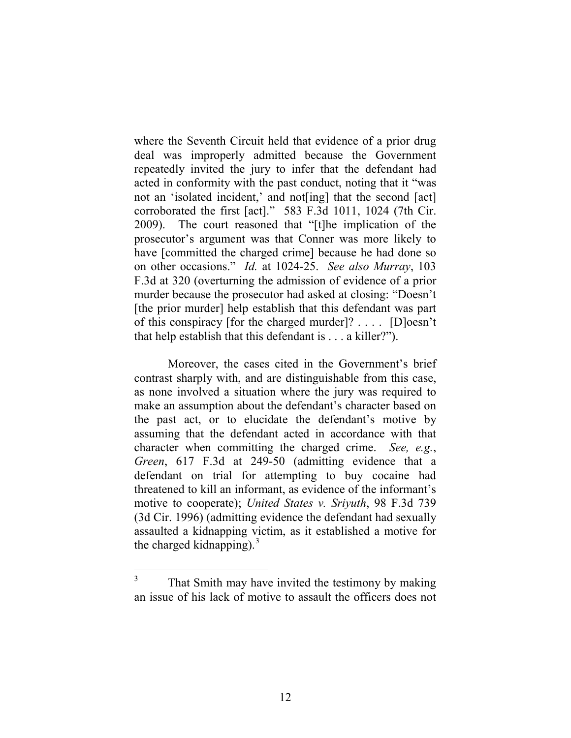where the Seventh Circuit held that evidence of a prior drug deal was improperly admitted because the Government repeatedly invited the jury to infer that the defendant had acted in conformity with the past conduct, noting that it "was not an 'isolated incident,' and not[ing] that the second [act] corroborated the first [act]." 583 F.3d 1011, 1024 (7th Cir. 2009). The court reasoned that "[t]he implication of the prosecutor's argument was that Conner was more likely to have [committed the charged crime] because he had done so on other occasions." *Id.* at 1024-25. *See also Murray*, 103 F.3d at 320 (overturning the admission of evidence of a prior murder because the prosecutor had asked at closing: "Doesn't [the prior murder] help establish that this defendant was part of this conspiracy [for the charged murder]? . . . . [D]oesn't that help establish that this defendant is . . . a killer?").

Moreover, the cases cited in the Government's brief contrast sharply with, and are distinguishable from this case, as none involved a situation where the jury was required to make an assumption about the defendant's character based on the past act, or to elucidate the defendant's motive by assuming that the defendant acted in accordance with that character when committing the charged crime. *See, e.g.*, *Green*, 617 F.3d at 249-50 (admitting evidence that a defendant on trial for attempting to buy cocaine had threatened to kill an informant, as evidence of the informant's motive to cooperate); *United States v. Sriyuth*, 98 F.3d 739 (3d Cir. 1996) (admitting evidence the defendant had sexually assaulted a kidnapping victim, as it established a motive for the charged kidnapping).<sup>[3](#page-11-0)</sup>

<span id="page-11-0"></span><sup>&</sup>lt;sup>3</sup> That Smith may have invited the testimony by making an issue of his lack of motive to assault the officers does not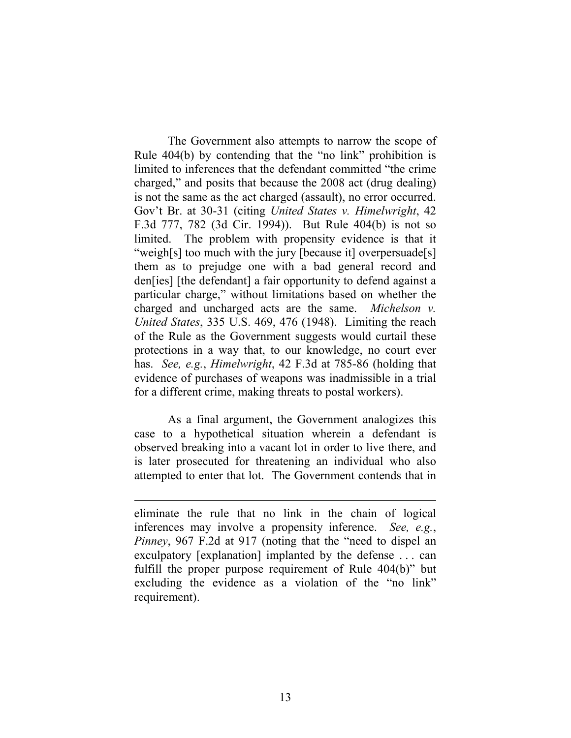The Government also attempts to narrow the scope of Rule 404(b) by contending that the "no link" prohibition is limited to inferences that the defendant committed "the crime charged," and posits that because the 2008 act (drug dealing) is not the same as the act charged (assault), no error occurred. Gov't Br. at 30-31 (citing *United States v. Himelwright*, 42 F.3d 777, 782 (3d Cir. 1994)). But Rule 404(b) is not so limited. The problem with propensity evidence is that it "weigh[s] too much with the jury [because it] overpersuade[s] them as to prejudge one with a bad general record and den[ies] [the defendant] a fair opportunity to defend against a particular charge," without limitations based on whether the charged and uncharged acts are the same. *Michelson v. United States*, 335 U.S. 469, 476 (1948). Limiting the reach of the Rule as the Government suggests would curtail these protections in a way that, to our knowledge, no court ever has. *See, e.g.*, *Himelwright*, 42 F.3d at 785-86 (holding that evidence of purchases of weapons was inadmissible in a trial for a different crime, making threats to postal workers).

As a final argument, the Government analogizes this case to a hypothetical situation wherein a defendant is observed breaking into a vacant lot in order to live there, and is later prosecuted for threatening an individual who also attempted to enter that lot. The Government contends that in

 $\overline{a}$ 

eliminate the rule that no link in the chain of logical inferences may involve a propensity inference. *See, e.g.*, *Pinney*, 967 F.2d at 917 (noting that the "need to dispel an exculpatory [explanation] implanted by the defense . . . can fulfill the proper purpose requirement of Rule 404(b)" but excluding the evidence as a violation of the "no link" requirement).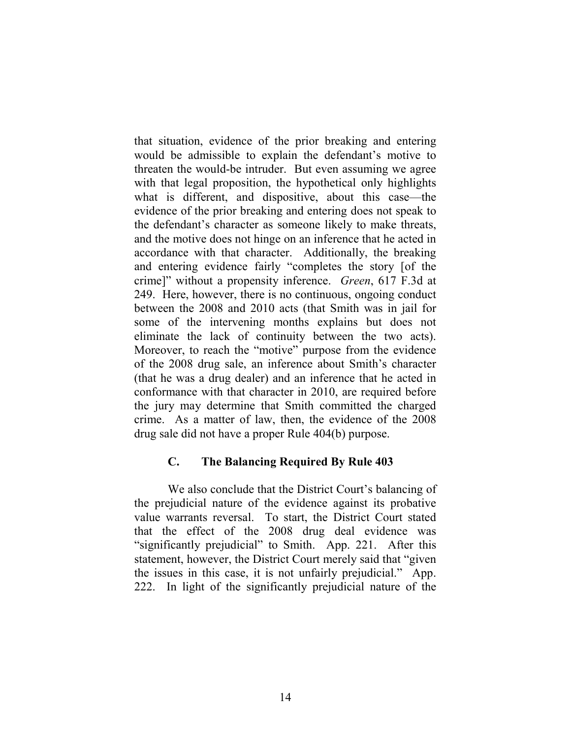that situation, evidence of the prior breaking and entering would be admissible to explain the defendant's motive to threaten the would-be intruder. But even assuming we agree with that legal proposition, the hypothetical only highlights what is different, and dispositive, about this case—the evidence of the prior breaking and entering does not speak to the defendant's character as someone likely to make threats, and the motive does not hinge on an inference that he acted in accordance with that character. Additionally, the breaking and entering evidence fairly "completes the story [of the crime]" without a propensity inference. *Green*, 617 F.3d at 249. Here, however, there is no continuous, ongoing conduct between the 2008 and 2010 acts (that Smith was in jail for some of the intervening months explains but does not eliminate the lack of continuity between the two acts). Moreover, to reach the "motive" purpose from the evidence of the 2008 drug sale, an inference about Smith's character (that he was a drug dealer) and an inference that he acted in conformance with that character in 2010, are required before the jury may determine that Smith committed the charged crime. As a matter of law, then, the evidence of the 2008 drug sale did not have a proper Rule 404(b) purpose.

### **C. The Balancing Required By Rule 403**

We also conclude that the District Court's balancing of the prejudicial nature of the evidence against its probative value warrants reversal. To start, the District Court stated that the effect of the 2008 drug deal evidence was "significantly prejudicial" to Smith. App. 221. After this statement, however, the District Court merely said that "given the issues in this case, it is not unfairly prejudicial." App. 222. In light of the significantly prejudicial nature of the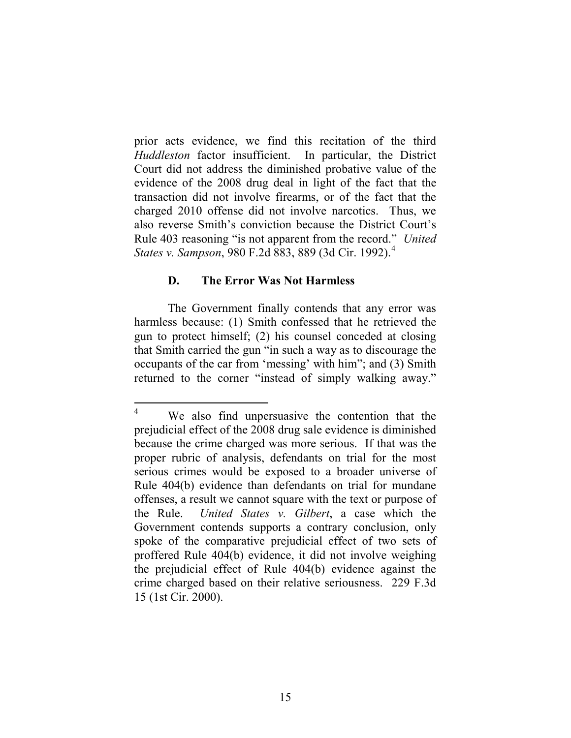prior acts evidence, we find this recitation of the third *Huddleston* factor insufficient. In particular, the District Court did not address the diminished probative value of the evidence of the 2008 drug deal in light of the fact that the transaction did not involve firearms, or of the fact that the charged 2010 offense did not involve narcotics. Thus, we also reverse Smith's conviction because the District Court's Rule 403 reasoning "is not apparent from the record." *United States v. Sampson*, 980 F.2d 883, 889 (3d Cir. 1992). [4](#page-14-0)

#### **D. The Error Was Not Harmless**

The Government finally contends that any error was harmless because: (1) Smith confessed that he retrieved the gun to protect himself; (2) his counsel conceded at closing that Smith carried the gun "in such a way as to discourage the occupants of the car from 'messing' with him"; and (3) Smith returned to the corner "instead of simply walking away."

<span id="page-14-0"></span>We also find unpersuasive the contention that the prejudicial effect of the 2008 drug sale evidence is diminished because the crime charged was more serious. If that was the proper rubric of analysis, defendants on trial for the most serious crimes would be exposed to a broader universe of Rule 404(b) evidence than defendants on trial for mundane offenses, a result we cannot square with the text or purpose of the Rule. *United States v. Gilbert*, a case which the Government contends supports a contrary conclusion, only spoke of the comparative prejudicial effect of two sets of proffered Rule 404(b) evidence, it did not involve weighing the prejudicial effect of Rule 404(b) evidence against the crime charged based on their relative seriousness. 229 F.3d 15 (1st Cir. 2000).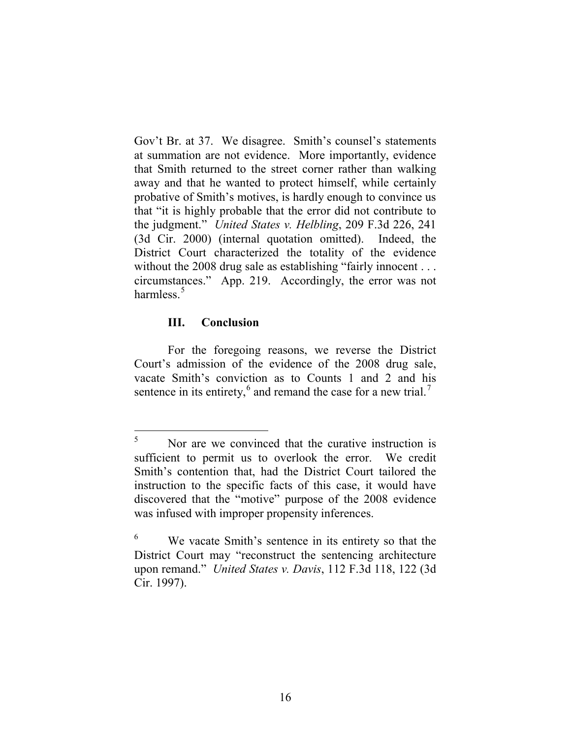Gov't Br. at 37. We disagree. Smith's counsel's statements at summation are not evidence. More importantly, evidence that Smith returned to the street corner rather than walking away and that he wanted to protect himself, while certainly probative of Smith's motives, is hardly enough to convince us that "it is highly probable that the error did not contribute to the judgment." *United States v. Helbling*, 209 F.3d 226, 241 (3d Cir. 2000) (internal quotation omitted). Indeed, the District Court characterized the totality of the evidence without the 2008 drug sale as establishing "fairly innocent . . . circumstances." App. 219. Accordingly, the error was not harmless $^5$  $^5$ 

### **III. Conclusion**

For the foregoing reasons, we reverse the District Court's admission of the evidence of the 2008 drug sale, vacate Smith's conviction as to Counts 1 and 2 and his sentence in its entirety,<sup>[6](#page-15-1)</sup> and remand the case for a new trial.<sup>[7](#page-15-2)</sup>

<span id="page-15-0"></span> $5$  Nor are we convinced that the curative instruction is sufficient to permit us to overlook the error. We credit Smith's contention that, had the District Court tailored the instruction to the specific facts of this case, it would have discovered that the "motive" purpose of the 2008 evidence was infused with improper propensity inferences.

<span id="page-15-2"></span><span id="page-15-1"></span><sup>6</sup> We vacate Smith's sentence in its entirety so that the District Court may "reconstruct the sentencing architecture upon remand." *United States v. Davis*, 112 F.3d 118, 122 (3d Cir. 1997).